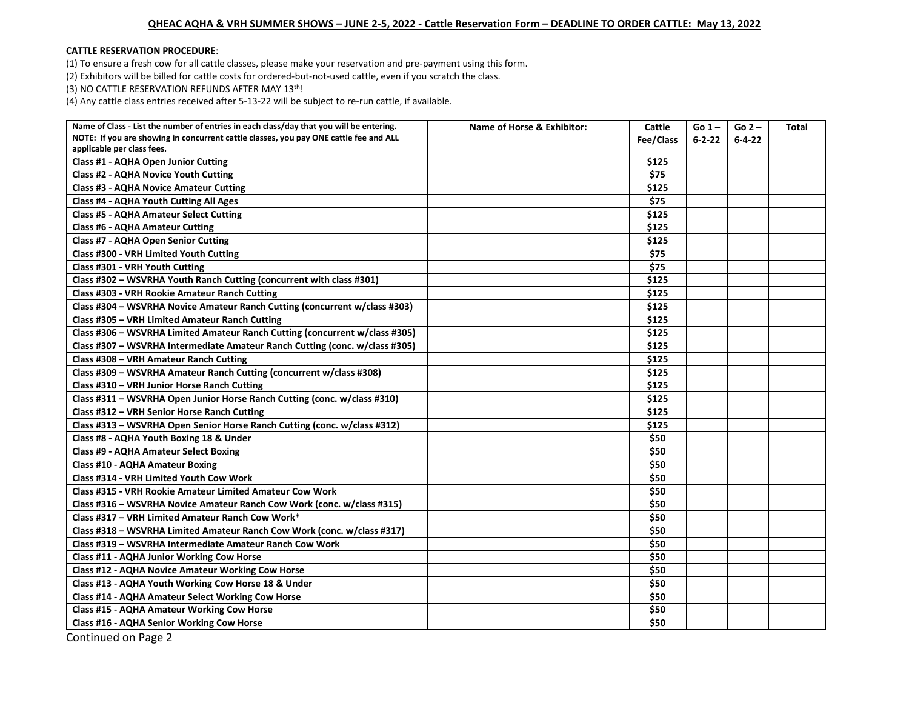## **QHEAC AQHA & VRH SUMMER SHOWS – JUNE 2-5, 2022 - Cattle Reservation Form – DEADLINE TO ORDER CATTLE: May 13, 2022**

## **CATTLE RESERVATION PROCEDURE**:

(1) To ensure a fresh cow for all cattle classes, please make your reservation and pre-payment using this form.

(2) Exhibitors will be billed for cattle costs for ordered-but-not-used cattle, even if you scratch the class.

(3) NO CATTLE RESERVATION REFUNDS AFTER MAY 13th!

(4) Any cattle class entries received after 5-13-22 will be subject to re-run cattle, if available.

| Name of Class - List the number of entries in each class/day that you will be entering. | Name of Horse & Exhibitor: | Cattle    | $Go 1 -$     | $Go 2 -$     | Total |
|-----------------------------------------------------------------------------------------|----------------------------|-----------|--------------|--------------|-------|
| NOTE: If you are showing in concurrent cattle classes, you pay ONE cattle fee and ALL   |                            | Fee/Class | $6 - 2 - 22$ | $6 - 4 - 22$ |       |
| applicable per class fees.                                                              |                            |           |              |              |       |
| Class #1 - AQHA Open Junior Cutting                                                     |                            | \$125     |              |              |       |
| <b>Class #2 - AQHA Novice Youth Cutting</b>                                             |                            | \$75      |              |              |       |
| <b>Class #3 - AQHA Novice Amateur Cutting</b>                                           |                            | \$125     |              |              |       |
| Class #4 - AQHA Youth Cutting All Ages                                                  |                            | \$75      |              |              |       |
| <b>Class #5 - AQHA Amateur Select Cutting</b>                                           |                            | \$125     |              |              |       |
| <b>Class #6 - AQHA Amateur Cutting</b>                                                  |                            | \$125     |              |              |       |
| Class #7 - AQHA Open Senior Cutting                                                     |                            | \$125     |              |              |       |
| Class #300 - VRH Limited Youth Cutting                                                  |                            | \$75      |              |              |       |
| Class #301 - VRH Youth Cutting                                                          |                            | \$75      |              |              |       |
| Class #302 - WSVRHA Youth Ranch Cutting (concurrent with class #301)                    |                            | \$125     |              |              |       |
| Class #303 - VRH Rookie Amateur Ranch Cutting                                           |                            | \$125     |              |              |       |
| Class #304 - WSVRHA Novice Amateur Ranch Cutting (concurrent w/class #303)              |                            | \$125     |              |              |       |
| Class #305 - VRH Limited Amateur Ranch Cutting                                          |                            | \$125     |              |              |       |
| Class #306 - WSVRHA Limited Amateur Ranch Cutting (concurrent w/class #305)             |                            | \$125     |              |              |       |
| Class #307 - WSVRHA Intermediate Amateur Ranch Cutting (conc. w/class #305)             |                            | \$125     |              |              |       |
| Class #308 - VRH Amateur Ranch Cutting                                                  |                            | \$125     |              |              |       |
| Class #309 - WSVRHA Amateur Ranch Cutting (concurrent w/class #308)                     |                            | \$125     |              |              |       |
| Class #310 - VRH Junior Horse Ranch Cutting                                             |                            | \$125     |              |              |       |
| Class #311 - WSVRHA Open Junior Horse Ranch Cutting (conc. w/class #310)                |                            | \$125     |              |              |       |
| Class #312 - VRH Senior Horse Ranch Cutting                                             |                            | \$125     |              |              |       |
| Class #313 - WSVRHA Open Senior Horse Ranch Cutting (conc. w/class #312)                |                            | \$125     |              |              |       |
| Class #8 - AQHA Youth Boxing 18 & Under                                                 |                            | \$50      |              |              |       |
| <b>Class #9 - AQHA Amateur Select Boxing</b>                                            |                            | \$50      |              |              |       |
| <b>Class #10 - AQHA Amateur Boxing</b>                                                  |                            | \$50      |              |              |       |
| Class #314 - VRH Limited Youth Cow Work                                                 |                            | \$50      |              |              |       |
| Class #315 - VRH Rookie Amateur Limited Amateur Cow Work                                |                            | \$50      |              |              |       |
| Class #316 - WSVRHA Novice Amateur Ranch Cow Work (conc. w/class #315)                  |                            | \$50      |              |              |       |
| Class #317 - VRH Limited Amateur Ranch Cow Work*                                        |                            | \$50      |              |              |       |
| Class #318 - WSVRHA Limited Amateur Ranch Cow Work (conc. w/class #317)                 |                            | \$50      |              |              |       |
| Class #319 - WSVRHA Intermediate Amateur Ranch Cow Work                                 |                            | \$50      |              |              |       |
| Class #11 - AQHA Junior Working Cow Horse                                               |                            | \$50      |              |              |       |
| Class #12 - AQHA Novice Amateur Working Cow Horse                                       |                            | \$50      |              |              |       |
| Class #13 - AQHA Youth Working Cow Horse 18 & Under                                     |                            | \$50      |              |              |       |
| Class #14 - AQHA Amateur Select Working Cow Horse                                       |                            | \$50      |              |              |       |
| <b>Class #15 - AQHA Amateur Working Cow Horse</b>                                       |                            | \$50      |              |              |       |
| Class #16 - AQHA Senior Working Cow Horse                                               |                            | \$50      |              |              |       |
|                                                                                         |                            |           |              |              |       |

Continued on Page 2